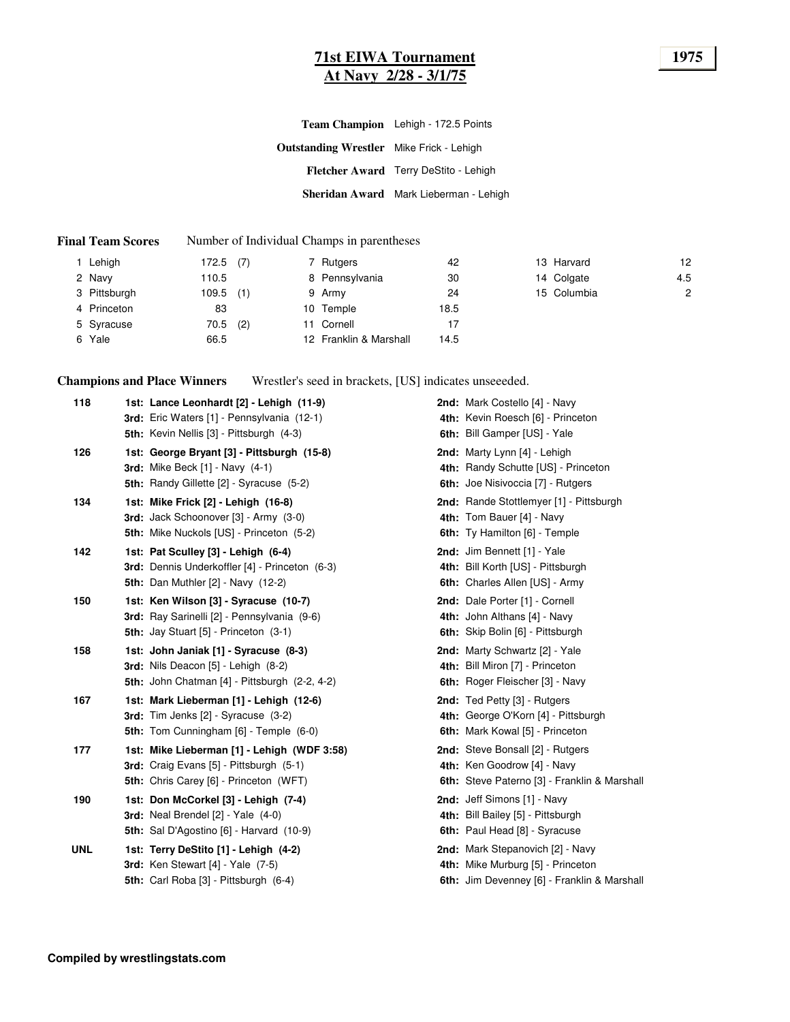#### **71st EIWA Tournament 1975 At Navy 2/28 - 3/1/75**

| Fletcher Award Terry DeStito - Lehigh  |
|----------------------------------------|
| Sheridan Award Mark Lieberman - Lehigh |
|                                        |

#### **Final Team Scores** Number of Individual Champs in parentheses

| l Lehigh     | 172.5 | (7) | 7 Rutgers              | 42   | 13 Harvard  | 12             |
|--------------|-------|-----|------------------------|------|-------------|----------------|
| 2 Navy       | 110.5 |     | 8 Pennsylvania         | 30   | 14 Colgate  | 4.5            |
| 3 Pittsburgh | 109.5 | (1) | 9 Army                 | 24   | 15 Columbia | $\overline{c}$ |
| 4 Princeton  | 83    |     | 10 Temple              | 18.5 |             |                |
| 5 Syracuse   | 70.5  | (2) | 11 Cornell             | 17   |             |                |
| 6 Yale       | 66.5  |     | 12 Franklin & Marshall | 14.5 |             |                |

**Champions and Place Winners** Wrestler's seed in brackets, [US] indicates unseeeded.

| 118        | 1st: Lance Leonhardt [2] - Lehigh (11-9)<br>3rd: Eric Waters [1] - Pennsylvania (12-1)<br><b>5th:</b> Kevin Nellis [3] - Pittsburgh (4-3) | 2nd: Mark Costello [4] - Navy<br>4th: Kevin Roesch [6] - Princeton<br>6th: Bill Gamper [US] - Yale                   |
|------------|-------------------------------------------------------------------------------------------------------------------------------------------|----------------------------------------------------------------------------------------------------------------------|
| 126        | 1st: George Bryant [3] - Pittsburgh (15-8)<br><b>3rd:</b> Mike Beck [1] - Navy (4-1)<br>5th: Randy Gillette [2] - Syracuse (5-2)          | 2nd: Marty Lynn [4] - Lehigh<br>4th: Randy Schutte [US] - Princeton<br>6th: Joe Nisivoccia [7] - Rutgers             |
| 134        | 1st: Mike Frick [2] - Lehigh (16-8)<br>3rd: Jack Schoonover [3] - Army (3-0)<br><b>5th:</b> Mike Nuckols [US] - Princeton (5-2)           | 2nd: Rande Stottlemyer [1] - Pittsburgh<br>4th: Tom Bauer [4] - Navy<br>6th: Ty Hamilton [6] - Temple                |
| 142        | 1st: Pat Sculley [3] - Lehigh (6-4)<br>3rd: Dennis Underkoffler [4] - Princeton (6-3)<br><b>5th: Dan Muthler [2] - Navy (12-2)</b>        | 2nd: Jim Bennett [1] - Yale<br>4th: Bill Korth [US] - Pittsburgh<br>6th: Charles Allen [US] - Army                   |
| 150        | 1st: Ken Wilson [3] - Syracuse (10-7)<br>3rd: Ray Sarinelli [2] - Pennsylvania (9-6)<br><b>5th: Jay Stuart [5] - Princeton (3-1)</b>      | 2nd: Dale Porter [1] - Cornell<br>4th: John Althans [4] - Navy<br>6th: Skip Bolin [6] - Pittsburgh                   |
| 158        | 1st: John Janiak [1] - Syracuse (8-3)<br>3rd: Nils Deacon [5] - Lehigh (8-2)<br>5th: John Chatman [4] - Pittsburgh (2-2, 4-2)             | 2nd: Marty Schwartz [2] - Yale<br>4th: Bill Miron [7] - Princeton<br>6th: Roger Fleischer [3] - Navy                 |
| 167        | 1st: Mark Lieberman [1] - Lehigh (12-6)<br>3rd: Tim Jenks [2] - Syracuse (3-2)<br><b>5th:</b> Tom Cunningham [6] - Temple (6-0)           | 2nd: Ted Petty [3] - Rutgers<br>4th: George O'Korn [4] - Pittsburgh<br>6th: Mark Kowal [5] - Princeton               |
| 177        | 1st: Mike Lieberman [1] - Lehigh (WDF 3:58)<br>3rd: Craig Evans [5] - Pittsburgh (5-1)<br>5th: Chris Carey [6] - Princeton (WFT)          | 2nd: Steve Bonsall [2] - Rutgers<br>4th: Ken Goodrow [4] - Navy<br>6th: Steve Paterno [3] - Franklin & Marshall      |
| 190        | 1st: Don McCorkel [3] - Lehigh (7-4)<br>3rd: Neal Brendel [2] - Yale (4-0)<br><b>5th:</b> Sal D'Agostino [6] - Harvard (10-9)             | 2nd: Jeff Simons [1] - Navy<br>4th: Bill Bailey [5] - Pittsburgh<br>6th: Paul Head [8] - Syracuse                    |
| <b>UNL</b> | 1st: Terry DeStito [1] - Lehigh (4-2)<br>3rd: Ken Stewart $[4]$ - Yale $(7-5)$<br>5th: Carl Roba [3] - Pittsburgh (6-4)                   | 2nd: Mark Stepanovich [2] - Navy<br>4th: Mike Murburg [5] - Princeton<br>6th: Jim Devenney [6] - Franklin & Marshall |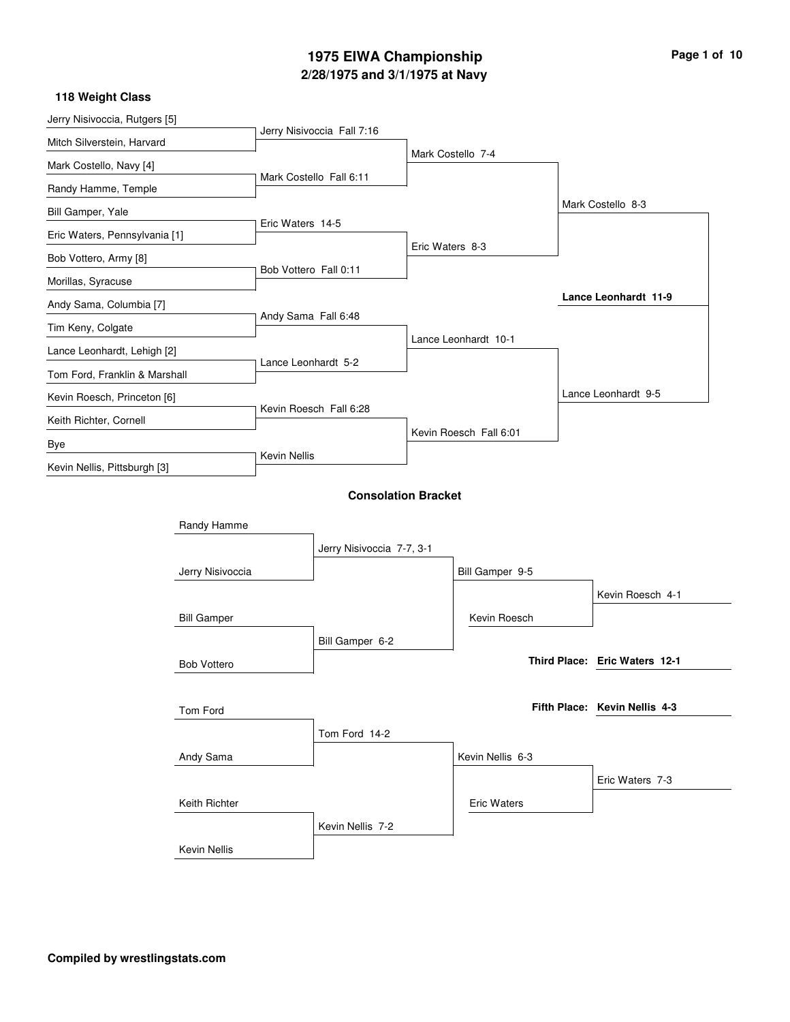## **2/28/1975 and 3/1/1975 at Navy 1975 EIWA Championship Page 1 of 10**

#### **118 Weight Class**

l,

| Jerry Nisivoccia, Rutgers [5] |                    |                       |                            |                 |                        |                               |
|-------------------------------|--------------------|-----------------------|----------------------------|-----------------|------------------------|-------------------------------|
| Mitch Silverstein, Harvard    |                    |                       | Jerry Nisivoccia Fall 7:16 |                 |                        |                               |
| Mark Costello, Navy [4]       |                    |                       |                            |                 | Mark Costello 7-4      |                               |
| Randy Hamme, Temple           |                    |                       | Mark Costello Fall 6:11    |                 |                        |                               |
| Bill Gamper, Yale             |                    |                       |                            |                 |                        | Mark Costello 8-3             |
| Eric Waters, Pennsylvania [1] |                    | Eric Waters 14-5      |                            |                 |                        |                               |
| Bob Vottero, Army [8]         |                    |                       |                            | Eric Waters 8-3 |                        |                               |
| Morillas, Syracuse            |                    | Bob Vottero Fall 0:11 |                            |                 |                        |                               |
| Andy Sama, Columbia [7]       |                    |                       |                            |                 |                        | <b>Lance Leonhardt 11-9</b>   |
| Tim Keny, Colgate             |                    | Andy Sama Fall 6:48   |                            |                 |                        |                               |
| Lance Leonhardt, Lehigh [2]   |                    |                       |                            |                 | Lance Leonhardt 10-1   |                               |
| Tom Ford, Franklin & Marshall |                    | Lance Leonhardt 5-2   |                            |                 |                        |                               |
| Kevin Roesch, Princeton [6]   |                    |                       |                            |                 |                        | Lance Leonhardt 9-5           |
| Keith Richter, Cornell        |                    |                       | Kevin Roesch Fall 6:28     |                 |                        |                               |
| Bye                           |                    |                       |                            |                 | Kevin Roesch Fall 6:01 |                               |
|                               |                    | Kevin Nellis          |                            |                 |                        |                               |
| Kevin Nellis, Pittsburgh [3]  |                    |                       | <b>Consolation Bracket</b> |                 |                        |                               |
|                               | Randy Hamme        |                       |                            |                 |                        |                               |
|                               |                    |                       | Jerry Nisivoccia 7-7, 3-1  |                 |                        |                               |
|                               | Jerry Nisivoccia   |                       |                            |                 | Bill Gamper 9-5        |                               |
|                               |                    |                       |                            |                 |                        | Kevin Roesch 4-1              |
|                               | <b>Bill Gamper</b> |                       |                            |                 | Kevin Roesch           |                               |
|                               |                    |                       | Bill Gamper 6-2            |                 |                        |                               |
|                               | <b>Bob Vottero</b> |                       |                            |                 |                        | Third Place: Eric Waters 12-1 |
|                               |                    |                       |                            |                 |                        |                               |
|                               | Tom Ford           |                       |                            |                 |                        | Fifth Place: Kevin Nellis 4-3 |
|                               |                    |                       | Tom Ford 14-2              |                 |                        |                               |
|                               | Andy Sama          |                       |                            |                 | Kevin Nellis 6-3       |                               |
|                               |                    |                       |                            |                 |                        | Eric Waters 7-3               |
|                               | Keith Richter      |                       |                            |                 | <b>Eric Waters</b>     |                               |
|                               |                    |                       | Kevin Nellis 7-2           |                 |                        |                               |
|                               | Kevin Nellis       |                       |                            |                 |                        |                               |
|                               |                    |                       |                            |                 |                        |                               |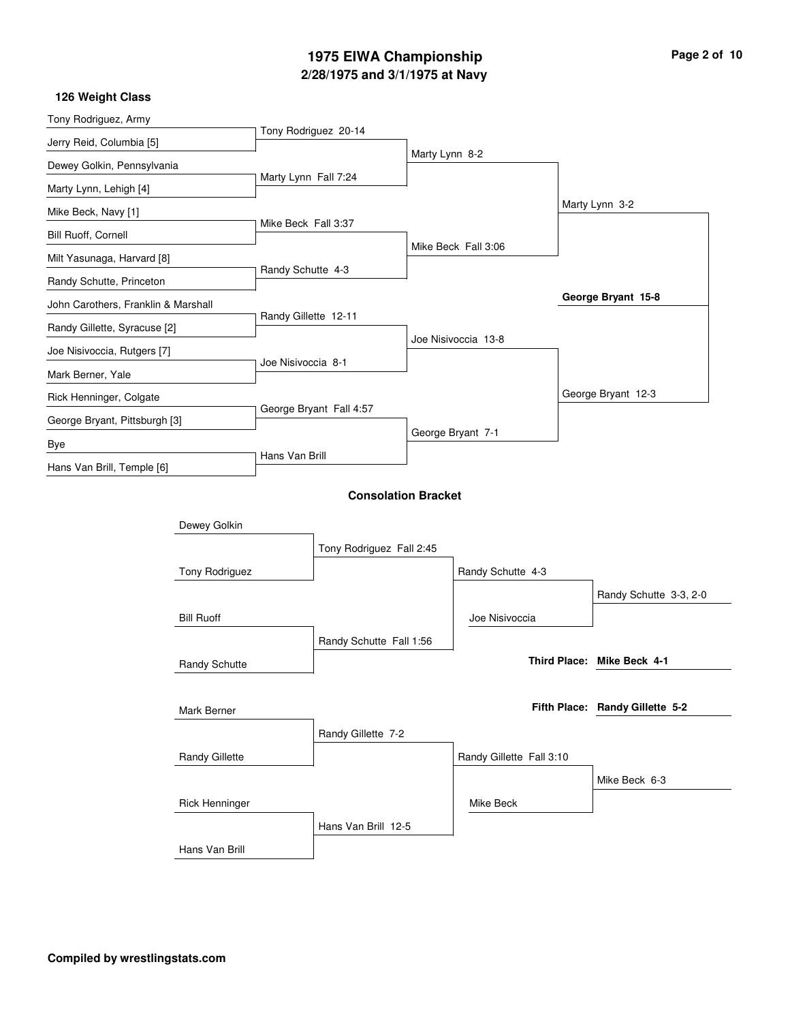## **2/28/1975 and 3/1/1975 at Navy 1975 EIWA Championship Page 2 of 10**

| Tony Rodriguez, Army                |                      |                            |                |                          |                                 |
|-------------------------------------|----------------------|----------------------------|----------------|--------------------------|---------------------------------|
| Jerry Reid, Columbia [5]            |                      | Tony Rodriguez 20-14       |                |                          |                                 |
| Dewey Golkin, Pennsylvania          |                      |                            | Marty Lynn 8-2 |                          |                                 |
| Marty Lynn, Lehigh [4]              | Marty Lynn Fall 7:24 |                            |                |                          |                                 |
| Mike Beck, Navy [1]                 |                      |                            |                |                          | Marty Lynn 3-2                  |
| Bill Ruoff, Cornell                 | Mike Beck Fall 3:37  |                            |                |                          |                                 |
| Milt Yasunaga, Harvard [8]          |                      |                            |                | Mike Beck Fall 3:06      |                                 |
| Randy Schutte, Princeton            | Randy Schutte 4-3    |                            |                |                          |                                 |
| John Carothers, Franklin & Marshall |                      |                            |                |                          | George Bryant 15-8              |
| Randy Gillette, Syracuse [2]        | Randy Gillette 12-11 |                            |                |                          |                                 |
| Joe Nisivoccia, Rutgers [7]         |                      |                            |                | Joe Nisivoccia 13-8      |                                 |
| Mark Berner, Yale                   | Joe Nisivoccia 8-1   |                            |                |                          |                                 |
| Rick Henninger, Colgate             |                      |                            |                |                          | George Bryant 12-3              |
| George Bryant, Pittsburgh [3]       |                      | George Bryant Fall 4:57    |                |                          |                                 |
| Bye                                 |                      |                            |                | George Bryant 7-1        |                                 |
| Hans Van Brill, Temple [6]          | Hans Van Brill       |                            |                |                          |                                 |
|                                     |                      | <b>Consolation Bracket</b> |                |                          |                                 |
| Dewey Golkin                        |                      |                            |                |                          |                                 |
|                                     |                      | Tony Rodriguez Fall 2:45   |                |                          |                                 |
| Tony Rodriguez                      |                      |                            |                | Randy Schutte 4-3        |                                 |
|                                     |                      |                            |                |                          | Randy Schutte 3-3, 2-0          |
| <b>Bill Ruoff</b>                   |                      |                            |                | Joe Nisivoccia           |                                 |
|                                     |                      | Randy Schutte Fall 1:56    |                |                          |                                 |
| Randy Schutte                       |                      |                            |                |                          | Third Place: Mike Beck 4-1      |
|                                     |                      |                            |                |                          |                                 |
| Mark Berner                         |                      |                            |                |                          | Fifth Place: Randy Gillette 5-2 |
|                                     |                      | Randy Gillette 7-2         |                |                          |                                 |
| Randy Gillette                      |                      |                            |                | Randy Gillette Fall 3:10 |                                 |
|                                     |                      |                            |                |                          | Mike Beck 6-3                   |
| <b>Rick Henninger</b>               |                      |                            |                | Mike Beck                |                                 |
|                                     |                      | Hans Van Brill 12-5        |                |                          |                                 |
| Hans Van Brill                      |                      |                            |                |                          |                                 |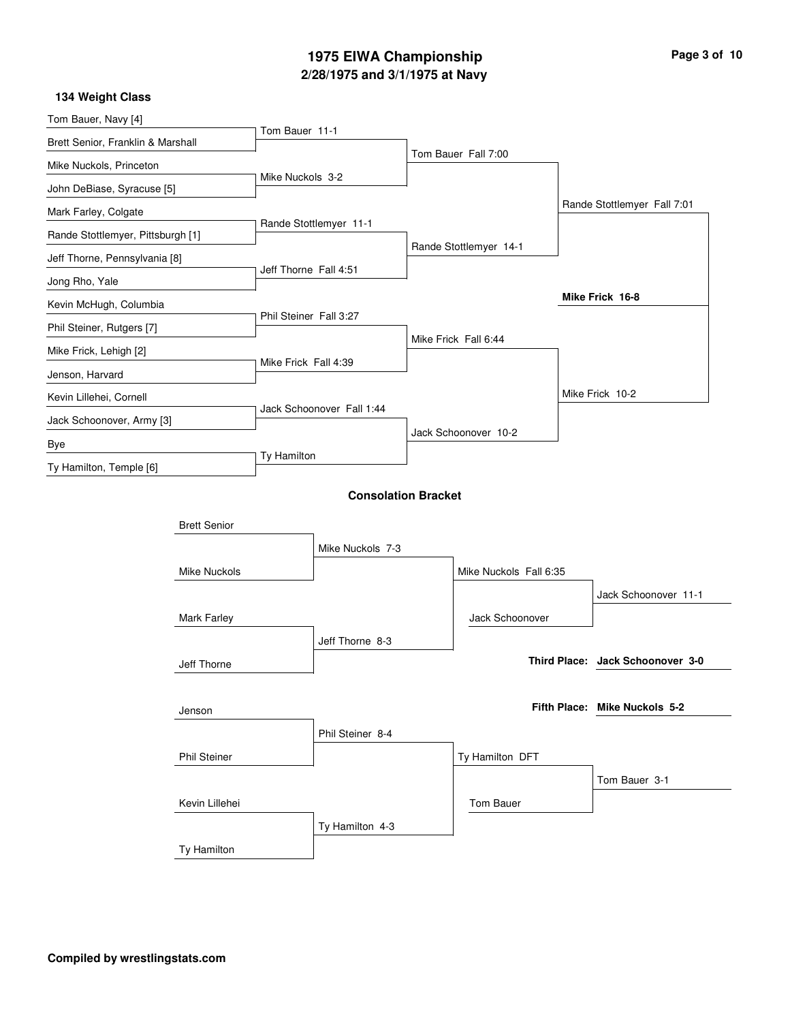# **2/28/1975 and 3/1/1975 at Navy 1975 EIWA Championship Page 3 of 10**

| Tom Bauer, Navy [4]               |                     |                        |                            |  |                        |  |                                  |
|-----------------------------------|---------------------|------------------------|----------------------------|--|------------------------|--|----------------------------------|
| Brett Senior, Franklin & Marshall |                     | Tom Bauer 11-1         |                            |  |                        |  |                                  |
| Mike Nuckols, Princeton           |                     |                        |                            |  | Tom Bauer Fall 7:00    |  |                                  |
| John DeBiase, Syracuse [5]        |                     | Mike Nuckols 3-2       |                            |  |                        |  |                                  |
| Mark Farley, Colgate              |                     |                        |                            |  |                        |  | Rande Stottlemyer Fall 7:01      |
| Rande Stottlemyer, Pittsburgh [1] |                     |                        | Rande Stottlemyer 11-1     |  |                        |  |                                  |
| Jeff Thorne, Pennsylvania [8]     |                     |                        |                            |  | Rande Stottlemyer 14-1 |  |                                  |
| Jong Rho, Yale                    |                     | Jeff Thorne Fall 4:51  |                            |  |                        |  |                                  |
| Kevin McHugh, Columbia            |                     |                        |                            |  |                        |  | Mike Frick 16-8                  |
| Phil Steiner, Rutgers [7]         |                     | Phil Steiner Fall 3:27 |                            |  |                        |  |                                  |
| Mike Frick, Lehigh [2]            |                     |                        |                            |  | Mike Frick Fall 6:44   |  |                                  |
| Jenson, Harvard                   |                     | Mike Frick Fall 4:39   |                            |  |                        |  |                                  |
| Kevin Lillehei, Cornell           |                     |                        |                            |  |                        |  | Mike Frick 10-2                  |
| Jack Schoonover, Army [3]         |                     |                        | Jack Schoonover Fall 1:44  |  |                        |  |                                  |
| Bye                               |                     |                        |                            |  | Jack Schoonover 10-2   |  |                                  |
| Ty Hamilton, Temple [6]           |                     | Ty Hamilton            |                            |  |                        |  |                                  |
|                                   |                     |                        | <b>Consolation Bracket</b> |  |                        |  |                                  |
|                                   |                     |                        |                            |  |                        |  |                                  |
|                                   | <b>Brett Senior</b> |                        |                            |  |                        |  |                                  |
|                                   |                     |                        | Mike Nuckols 7-3           |  |                        |  |                                  |
|                                   | Mike Nuckols        |                        |                            |  | Mike Nuckols Fall 6:35 |  |                                  |
|                                   |                     |                        |                            |  |                        |  | Jack Schoonover 11-1             |
|                                   | Mark Farley         |                        |                            |  | Jack Schoonover        |  |                                  |
|                                   |                     |                        | Jeff Thorne 8-3            |  |                        |  | Third Place: Jack Schoonover 3-0 |
|                                   | Jeff Thorne         |                        |                            |  |                        |  |                                  |
|                                   |                     |                        |                            |  |                        |  | Fifth Place: Mike Nuckols 5-2    |
|                                   | Jenson              |                        |                            |  |                        |  |                                  |
|                                   |                     |                        | Phil Steiner 8-4           |  |                        |  |                                  |
|                                   | <b>Phil Steiner</b> |                        |                            |  | Ty Hamilton DFT        |  |                                  |
|                                   |                     |                        |                            |  |                        |  | Tom Bauer 3-1                    |
|                                   | Kevin Lillehei      |                        |                            |  | Tom Bauer              |  |                                  |
|                                   |                     |                        | Ty Hamilton 4-3            |  |                        |  |                                  |
|                                   | Ty Hamilton         |                        |                            |  |                        |  |                                  |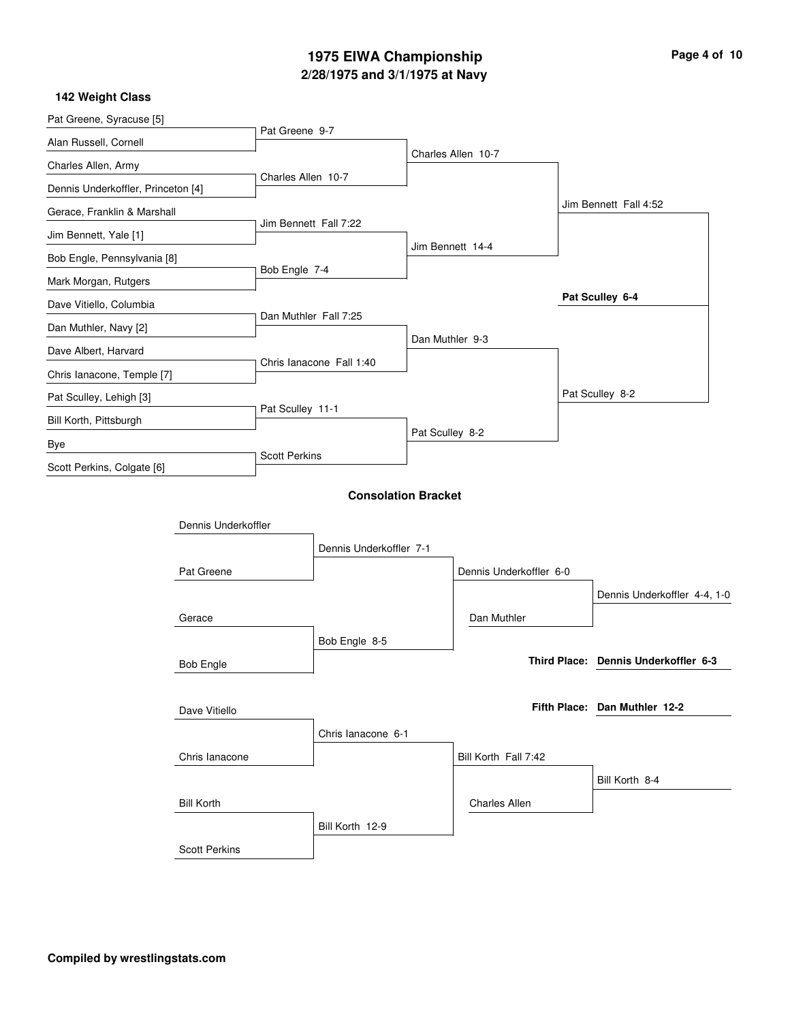## **2/28/1975 and 3/1/1975 at Navy 1975 EIWA Championship**

|  | Page 4 of 10 |  |  |  |
|--|--------------|--|--|--|
|--|--------------|--|--|--|

| Pat Greene, Syracuse [5]    |                                                                                                                                                                                                                                                                                                                                                                                                                                                                                                                                                                                                                               |                               |  |                    |  |                                      |  |
|-----------------------------|-------------------------------------------------------------------------------------------------------------------------------------------------------------------------------------------------------------------------------------------------------------------------------------------------------------------------------------------------------------------------------------------------------------------------------------------------------------------------------------------------------------------------------------------------------------------------------------------------------------------------------|-------------------------------|--|--------------------|--|--------------------------------------|--|
| Alan Russell, Cornell       |                                                                                                                                                                                                                                                                                                                                                                                                                                                                                                                                                                                                                               | Pat Greene 9-7                |  |                    |  |                                      |  |
| Charles Allen, Army         |                                                                                                                                                                                                                                                                                                                                                                                                                                                                                                                                                                                                                               |                               |  | Charles Allen 10-7 |  |                                      |  |
|                             |                                                                                                                                                                                                                                                                                                                                                                                                                                                                                                                                                                                                                               |                               |  |                    |  |                                      |  |
| Gerace, Franklin & Marshall |                                                                                                                                                                                                                                                                                                                                                                                                                                                                                                                                                                                                                               |                               |  |                    |  | Jim Bennett Fall 4:52                |  |
| Jim Bennett, Yale [1]       |                                                                                                                                                                                                                                                                                                                                                                                                                                                                                                                                                                                                                               |                               |  |                    |  |                                      |  |
| Bob Engle, Pennsylvania [8] |                                                                                                                                                                                                                                                                                                                                                                                                                                                                                                                                                                                                                               |                               |  |                    |  |                                      |  |
| Mark Morgan, Rutgers        |                                                                                                                                                                                                                                                                                                                                                                                                                                                                                                                                                                                                                               |                               |  |                    |  |                                      |  |
| Dave Vitiello, Columbia     |                                                                                                                                                                                                                                                                                                                                                                                                                                                                                                                                                                                                                               |                               |  |                    |  | Pat Sculley 6-4                      |  |
| Dan Muthler, Navy [2]       |                                                                                                                                                                                                                                                                                                                                                                                                                                                                                                                                                                                                                               |                               |  |                    |  |                                      |  |
| Dave Albert, Harvard        |                                                                                                                                                                                                                                                                                                                                                                                                                                                                                                                                                                                                                               |                               |  |                    |  |                                      |  |
| Chris lanacone, Temple [7]  |                                                                                                                                                                                                                                                                                                                                                                                                                                                                                                                                                                                                                               |                               |  |                    |  |                                      |  |
| Pat Sculley, Lehigh [3]     |                                                                                                                                                                                                                                                                                                                                                                                                                                                                                                                                                                                                                               |                               |  |                    |  | Pat Sculley 8-2                      |  |
| Bill Korth, Pittsburgh      |                                                                                                                                                                                                                                                                                                                                                                                                                                                                                                                                                                                                                               |                               |  |                    |  |                                      |  |
| Bye                         |                                                                                                                                                                                                                                                                                                                                                                                                                                                                                                                                                                                                                               |                               |  |                    |  |                                      |  |
| Scott Perkins, Colgate [6]  |                                                                                                                                                                                                                                                                                                                                                                                                                                                                                                                                                                                                                               |                               |  |                    |  |                                      |  |
|                             |                                                                                                                                                                                                                                                                                                                                                                                                                                                                                                                                                                                                                               |                               |  |                    |  |                                      |  |
|                             |                                                                                                                                                                                                                                                                                                                                                                                                                                                                                                                                                                                                                               |                               |  |                    |  |                                      |  |
|                             |                                                                                                                                                                                                                                                                                                                                                                                                                                                                                                                                                                                                                               |                               |  |                    |  |                                      |  |
|                             |                                                                                                                                                                                                                                                                                                                                                                                                                                                                                                                                                                                                                               |                               |  |                    |  |                                      |  |
|                             |                                                                                                                                                                                                                                                                                                                                                                                                                                                                                                                                                                                                                               |                               |  |                    |  |                                      |  |
|                             |                                                                                                                                                                                                                                                                                                                                                                                                                                                                                                                                                                                                                               |                               |  |                    |  | Dennis Underkoffler 4-4, 1-0         |  |
|                             |                                                                                                                                                                                                                                                                                                                                                                                                                                                                                                                                                                                                                               |                               |  |                    |  |                                      |  |
|                             |                                                                                                                                                                                                                                                                                                                                                                                                                                                                                                                                                                                                                               |                               |  |                    |  | Third Place: Dennis Underkoffler 6-3 |  |
|                             |                                                                                                                                                                                                                                                                                                                                                                                                                                                                                                                                                                                                                               |                               |  |                    |  |                                      |  |
|                             | Charles Allen 10-7<br>Dennis Underkoffler, Princeton [4]<br>Jim Bennett Fall 7:22<br>Jim Bennett 14-4<br>Bob Engle 7-4<br>Dan Muthler Fall 7:25<br>Dan Muthler 9-3<br>Chris lanacone Fall 1:40<br>Pat Sculley 11-1<br>Pat Sculley 8-2<br><b>Scott Perkins</b><br><b>Consolation Bracket</b><br>Dennis Underkoffler<br>Dennis Underkoffler 7-1<br>Pat Greene<br>Dennis Underkoffler 6-0<br>Gerace<br>Dan Muthler<br>Bob Engle 8-5<br><b>Bob Engle</b><br>Dave Vitiello<br>Chris lanacone 6-1<br>Bill Korth Fall 7:42<br>Chris lanacone<br><b>Bill Korth</b><br><b>Charles Allen</b><br>Bill Korth 12-9<br><b>Scott Perkins</b> | Fifth Place: Dan Muthler 12-2 |  |                    |  |                                      |  |
|                             |                                                                                                                                                                                                                                                                                                                                                                                                                                                                                                                                                                                                                               |                               |  |                    |  |                                      |  |
|                             |                                                                                                                                                                                                                                                                                                                                                                                                                                                                                                                                                                                                                               |                               |  |                    |  |                                      |  |
|                             |                                                                                                                                                                                                                                                                                                                                                                                                                                                                                                                                                                                                                               |                               |  |                    |  |                                      |  |
|                             |                                                                                                                                                                                                                                                                                                                                                                                                                                                                                                                                                                                                                               |                               |  |                    |  | Bill Korth 8-4                       |  |
|                             |                                                                                                                                                                                                                                                                                                                                                                                                                                                                                                                                                                                                                               |                               |  |                    |  |                                      |  |
|                             |                                                                                                                                                                                                                                                                                                                                                                                                                                                                                                                                                                                                                               |                               |  |                    |  |                                      |  |
|                             |                                                                                                                                                                                                                                                                                                                                                                                                                                                                                                                                                                                                                               |                               |  |                    |  |                                      |  |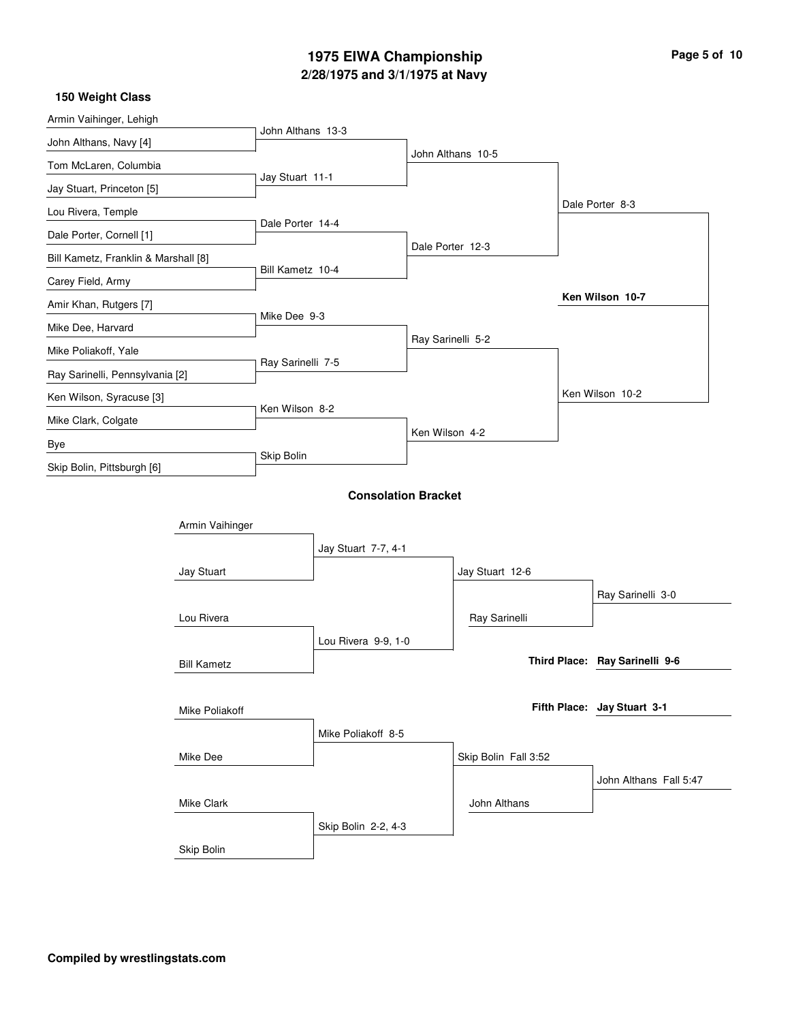# **2/28/1975 and 3/1/1975 at Navy 1975 EIWA Championship Page 5 of 10**

| 150 Weight Class                     |                    |                            |                     |                   |                      |  |                                |
|--------------------------------------|--------------------|----------------------------|---------------------|-------------------|----------------------|--|--------------------------------|
| Armin Vaihinger, Lehigh              |                    |                            |                     |                   |                      |  |                                |
| John Althans, Navy [4]               |                    | John Althans 13-3          |                     |                   |                      |  |                                |
| Tom McLaren, Columbia                |                    |                            |                     |                   | John Althans 10-5    |  |                                |
| Jay Stuart, Princeton [5]            |                    | Jay Stuart 11-1            |                     |                   |                      |  |                                |
| Lou Rivera, Temple                   |                    |                            |                     |                   |                      |  | Dale Porter 8-3                |
| Dale Porter, Cornell [1]             |                    | Dale Porter 14-4           |                     |                   |                      |  |                                |
| Bill Kametz, Franklin & Marshall [8] |                    |                            |                     | Dale Porter 12-3  |                      |  |                                |
| Carey Field, Army                    |                    | Bill Kametz 10-4           |                     |                   |                      |  |                                |
| Amir Khan, Rutgers [7]               |                    |                            |                     |                   |                      |  | Ken Wilson 10-7                |
| Mike Dee, Harvard                    |                    | Mike Dee 9-3               |                     |                   |                      |  |                                |
| Mike Poliakoff, Yale                 |                    |                            |                     | Ray Sarinelli 5-2 |                      |  |                                |
| Ray Sarinelli, Pennsylvania [2]      |                    | Ray Sarinelli 7-5          |                     |                   |                      |  |                                |
| Ken Wilson, Syracuse [3]             |                    |                            |                     |                   |                      |  | Ken Wilson 10-2                |
| Mike Clark, Colgate                  |                    | Ken Wilson 8-2             |                     |                   |                      |  |                                |
| Bye                                  |                    |                            |                     | Ken Wilson 4-2    |                      |  |                                |
| Skip Bolin, Pittsburgh [6]           |                    | Skip Bolin                 |                     |                   |                      |  |                                |
|                                      |                    |                            |                     |                   |                      |  |                                |
|                                      |                    | <b>Consolation Bracket</b> |                     |                   |                      |  |                                |
|                                      | Armin Vaihinger    |                            |                     |                   |                      |  |                                |
|                                      |                    |                            | Jay Stuart 7-7, 4-1 |                   |                      |  |                                |
|                                      | Jay Stuart         |                            |                     |                   | Jay Stuart 12-6      |  |                                |
|                                      |                    |                            |                     |                   |                      |  | Ray Sarinelli 3-0              |
|                                      | Lou Rivera         |                            |                     |                   | Ray Sarinelli        |  |                                |
|                                      |                    |                            | Lou Rivera 9-9, 1-0 |                   |                      |  |                                |
|                                      | <b>Bill Kametz</b> |                            |                     |                   |                      |  | Third Place: Ray Sarinelli 9-6 |
|                                      |                    |                            |                     |                   |                      |  |                                |
|                                      | Mike Poliakoff     |                            |                     |                   |                      |  | Fifth Place: Jay Stuart 3-1    |
|                                      |                    |                            | Mike Poliakoff 8-5  |                   |                      |  |                                |
|                                      | Mike Dee           |                            |                     |                   | Skip Bolin Fall 3:52 |  |                                |
|                                      |                    |                            |                     |                   |                      |  | John Althans Fall 5:47         |
|                                      | Mike Clark         |                            |                     |                   | John Althans         |  |                                |
|                                      |                    |                            | Skip Bolin 2-2, 4-3 |                   |                      |  |                                |
|                                      | Skip Bolin         |                            |                     |                   |                      |  |                                |
|                                      |                    |                            |                     |                   |                      |  |                                |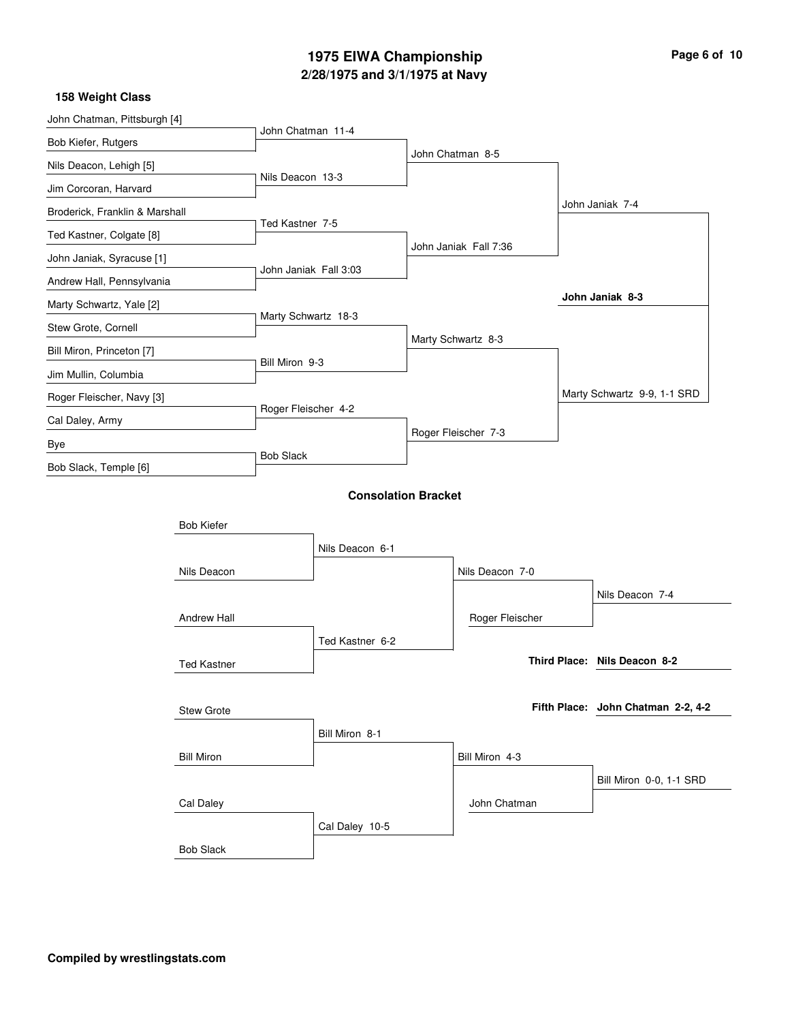# **2/28/1975 and 3/1/1975 at Navy 1975 EIWA Championship Page 6 of 10**

| John Chatman, Pittsburgh [4]   |                    |                       |                            |                       |                                    |
|--------------------------------|--------------------|-----------------------|----------------------------|-----------------------|------------------------------------|
| Bob Kiefer, Rutgers            |                    | John Chatman 11-4     |                            |                       |                                    |
| Nils Deacon, Lehigh [5]        |                    |                       |                            | John Chatman 8-5      |                                    |
| Jim Corcoran, Harvard          |                    | Nils Deacon 13-3      |                            |                       |                                    |
| Broderick, Franklin & Marshall |                    |                       |                            |                       | John Janiak 7-4                    |
| Ted Kastner, Colgate [8]       |                    | Ted Kastner 7-5       |                            |                       |                                    |
| John Janiak, Syracuse [1]      |                    |                       |                            | John Janiak Fall 7:36 |                                    |
| Andrew Hall, Pennsylvania      |                    | John Janiak Fall 3:03 |                            |                       |                                    |
| Marty Schwartz, Yale [2]       |                    |                       |                            |                       | John Janiak 8-3                    |
| Stew Grote, Cornell            |                    | Marty Schwartz 18-3   |                            |                       |                                    |
| Bill Miron, Princeton [7]      |                    |                       |                            | Marty Schwartz 8-3    |                                    |
| Jim Mullin, Columbia           |                    | Bill Miron 9-3        |                            |                       |                                    |
| Roger Fleischer, Navy [3]      |                    |                       |                            |                       | Marty Schwartz 9-9, 1-1 SRD        |
| Cal Daley, Army                |                    | Roger Fleischer 4-2   |                            |                       |                                    |
| Bye                            |                    |                       |                            | Roger Fleischer 7-3   |                                    |
| Bob Slack, Temple [6]          |                    | <b>Bob Slack</b>      |                            |                       |                                    |
|                                |                    |                       | <b>Consolation Bracket</b> |                       |                                    |
|                                |                    |                       |                            |                       |                                    |
|                                | <b>Bob Kiefer</b>  |                       |                            |                       |                                    |
|                                |                    |                       | Nils Deacon 6-1            |                       |                                    |
|                                | Nils Deacon        |                       |                            | Nils Deacon 7-0       |                                    |
|                                |                    |                       |                            |                       | Nils Deacon 7-4                    |
|                                | Andrew Hall        |                       |                            | Roger Fleischer       |                                    |
|                                |                    |                       | Ted Kastner 6-2            |                       | Third Place: Nils Deacon 8-2       |
|                                | <b>Ted Kastner</b> |                       |                            |                       |                                    |
|                                | <b>Stew Grote</b>  |                       |                            |                       | Fifth Place: John Chatman 2-2, 4-2 |
|                                |                    |                       | Bill Miron 8-1             |                       |                                    |
|                                | <b>Bill Miron</b>  |                       |                            | Bill Miron 4-3        |                                    |
|                                |                    |                       |                            |                       | Bill Miron 0-0, 1-1 SRD            |
|                                | Cal Daley          |                       |                            | John Chatman          |                                    |
|                                |                    |                       | Cal Daley 10-5             |                       |                                    |
|                                | <b>Bob Slack</b>   |                       |                            |                       |                                    |
|                                |                    |                       |                            |                       |                                    |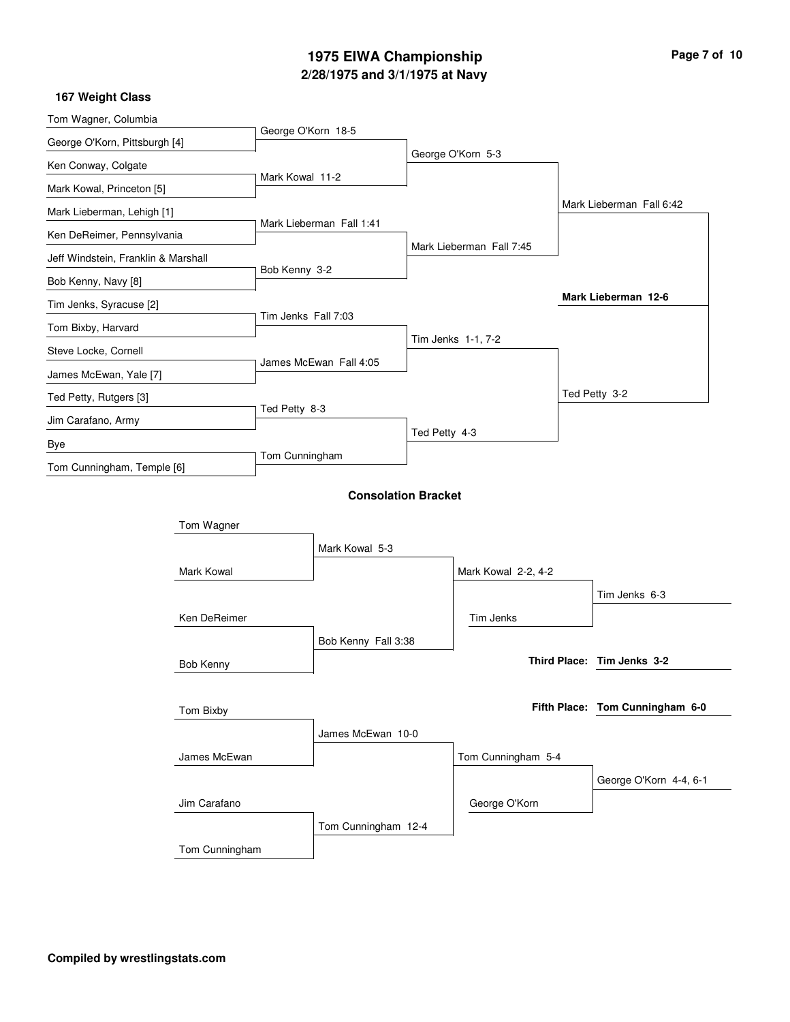# **2/28/1975 and 3/1/1975 at Navy 1975 EIWA Championship Page 7 of 10**

| Tom Wagner, Columbia                |                |                     |                            |               |                          |                                                                                                                                   |                                         |  |
|-------------------------------------|----------------|---------------------|----------------------------|---------------|--------------------------|-----------------------------------------------------------------------------------------------------------------------------------|-----------------------------------------|--|
| George O'Korn, Pittsburgh [4]       |                | George O'Korn 18-5  |                            |               |                          |                                                                                                                                   |                                         |  |
| Ken Conway, Colgate                 |                |                     |                            |               | George O'Korn 5-3        |                                                                                                                                   |                                         |  |
| Mark Kowal, Princeton [5]           |                | Mark Kowal 11-2     |                            |               |                          |                                                                                                                                   |                                         |  |
| Mark Lieberman, Lehigh [1]          |                |                     |                            |               |                          |                                                                                                                                   |                                         |  |
| Ken DeReimer, Pennsylvania          |                |                     | Mark Lieberman Fall 1:41   |               |                          |                                                                                                                                   |                                         |  |
| Jeff Windstein, Franklin & Marshall |                |                     |                            |               | Mark Lieberman Fall 7:45 |                                                                                                                                   |                                         |  |
| Bob Kenny, Navy [8]                 |                | Bob Kenny 3-2       |                            |               |                          |                                                                                                                                   |                                         |  |
| Tim Jenks, Syracuse [2]             |                |                     |                            |               |                          |                                                                                                                                   |                                         |  |
| Tom Bixby, Harvard                  |                | Tim Jenks Fall 7:03 |                            |               |                          |                                                                                                                                   |                                         |  |
| Steve Locke, Cornell                |                |                     |                            |               | Tim Jenks 1-1, 7-2       |                                                                                                                                   |                                         |  |
| James McEwan, Yale [7]              |                |                     | James McEwan Fall 4:05     |               |                          |                                                                                                                                   |                                         |  |
| Ted Petty, Rutgers [3]              |                |                     |                            |               |                          |                                                                                                                                   |                                         |  |
| Jim Carafano, Army                  |                | Ted Petty 8-3       |                            |               |                          |                                                                                                                                   |                                         |  |
| Bye                                 |                |                     |                            | Ted Petty 4-3 |                          |                                                                                                                                   |                                         |  |
| Tom Cunningham, Temple [6]          |                | Tom Cunningham      |                            |               |                          |                                                                                                                                   |                                         |  |
|                                     |                |                     | <b>Consolation Bracket</b> |               |                          |                                                                                                                                   | Tim Jenks 6-3<br>George O'Korn 4-4, 6-1 |  |
|                                     | Tom Wagner     |                     |                            |               |                          |                                                                                                                                   |                                         |  |
|                                     |                |                     | Mark Kowal 5-3             |               |                          |                                                                                                                                   |                                         |  |
|                                     | Mark Kowal     |                     |                            |               | Mark Kowal 2-2, 4-2      |                                                                                                                                   |                                         |  |
|                                     |                |                     |                            |               |                          |                                                                                                                                   |                                         |  |
|                                     | Ken DeReimer   |                     |                            |               | Tim Jenks                |                                                                                                                                   |                                         |  |
|                                     |                |                     | Bob Kenny Fall 3:38        |               |                          |                                                                                                                                   |                                         |  |
|                                     | Bob Kenny      |                     |                            |               |                          |                                                                                                                                   |                                         |  |
|                                     |                |                     |                            |               |                          | Mark Lieberman Fall 6:42<br>Mark Lieberman 12-6<br>Ted Petty 3-2<br>Third Place: Tim Jenks 3-2<br>Fifth Place: Tom Cunningham 6-0 |                                         |  |
|                                     | Tom Bixby      |                     |                            |               |                          |                                                                                                                                   |                                         |  |
|                                     |                |                     | James McEwan 10-0          |               |                          |                                                                                                                                   |                                         |  |
|                                     | James McEwan   |                     |                            |               | Tom Cunningham 5-4       |                                                                                                                                   |                                         |  |
|                                     |                |                     |                            |               |                          |                                                                                                                                   |                                         |  |
|                                     | Jim Carafano   |                     |                            |               | George O'Korn            |                                                                                                                                   |                                         |  |
|                                     |                |                     | Tom Cunningham 12-4        |               |                          |                                                                                                                                   |                                         |  |
|                                     | Tom Cunningham |                     |                            |               |                          |                                                                                                                                   |                                         |  |
|                                     |                |                     |                            |               |                          |                                                                                                                                   |                                         |  |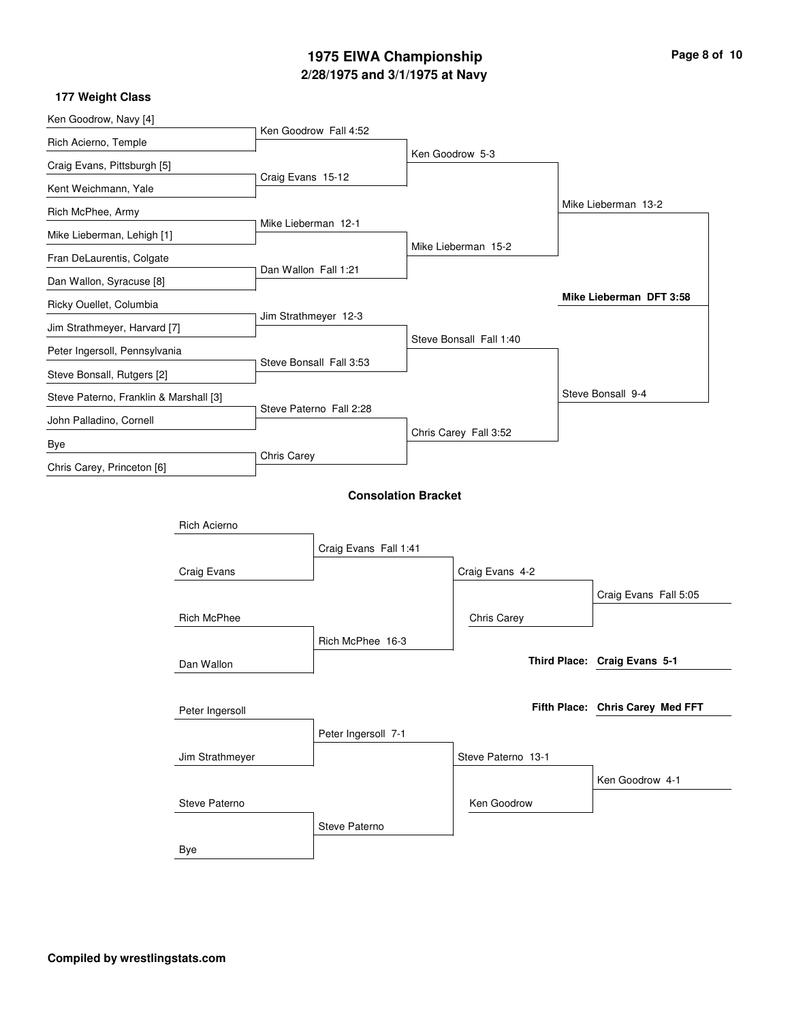# **2/28/1975 and 3/1/1975 at Navy 1975 EIWA Championship Page 8 of 10**

| Ken Goodrow, Navy [4]                  |                     |                      |                            |                         |                                  |
|----------------------------------------|---------------------|----------------------|----------------------------|-------------------------|----------------------------------|
| Rich Acierno, Temple                   |                     |                      | Ken Goodrow Fall 4:52      |                         |                                  |
| Craig Evans, Pittsburgh [5]            |                     |                      |                            | Ken Goodrow 5-3         |                                  |
| Kent Weichmann, Yale                   |                     | Craig Evans 15-12    |                            |                         |                                  |
| Rich McPhee, Army                      |                     |                      |                            |                         | Mike Lieberman 13-2              |
| Mike Lieberman, Lehigh [1]             |                     | Mike Lieberman 12-1  |                            |                         |                                  |
| Fran DeLaurentis, Colgate              |                     |                      |                            | Mike Lieberman 15-2     |                                  |
| Dan Wallon, Syracuse [8]               |                     | Dan Wallon Fall 1:21 |                            |                         |                                  |
| Ricky Ouellet, Columbia                |                     |                      |                            |                         | Mike Lieberman DFT 3:58          |
| Jim Strathmeyer, Harvard [7]           |                     | Jim Strathmeyer 12-3 |                            |                         |                                  |
| Peter Ingersoll, Pennsylvania          |                     |                      |                            | Steve Bonsall Fall 1:40 |                                  |
| Steve Bonsall, Rutgers [2]             |                     |                      | Steve Bonsall Fall 3:53    |                         |                                  |
| Steve Paterno, Franklin & Marshall [3] |                     |                      |                            |                         | Steve Bonsall 9-4                |
| John Palladino, Cornell                |                     |                      | Steve Paterno Fall 2:28    |                         |                                  |
| Bye                                    |                     |                      |                            | Chris Carey Fall 3:52   |                                  |
| Chris Carey, Princeton [6]             |                     | Chris Carey          |                            |                         |                                  |
|                                        |                     |                      | <b>Consolation Bracket</b> |                         |                                  |
|                                        |                     |                      |                            |                         |                                  |
|                                        | <b>Rich Acierno</b> |                      |                            |                         |                                  |
|                                        |                     |                      | Craig Evans Fall 1:41      |                         |                                  |
|                                        | Craig Evans         |                      |                            | Craig Evans 4-2         |                                  |
|                                        |                     |                      |                            |                         | Craig Evans Fall 5:05            |
|                                        | <b>Rich McPhee</b>  |                      |                            | Chris Carey             |                                  |
|                                        |                     |                      | Rich McPhee 16-3           |                         |                                  |
|                                        | Dan Wallon          |                      |                            |                         | Third Place: Craig Evans 5-1     |
|                                        |                     |                      |                            |                         |                                  |
|                                        | Peter Ingersoll     |                      |                            |                         | Fifth Place: Chris Carey Med FFT |
|                                        |                     |                      | Peter Ingersoll 7-1        |                         |                                  |
|                                        | Jim Strathmeyer     |                      |                            | Steve Paterno 13-1      |                                  |
|                                        |                     |                      |                            |                         | Ken Goodrow 4-1                  |
|                                        | Steve Paterno       |                      |                            | Ken Goodrow             |                                  |
|                                        |                     |                      | Steve Paterno              |                         |                                  |
|                                        | Bye                 |                      |                            |                         |                                  |
|                                        |                     |                      |                            |                         |                                  |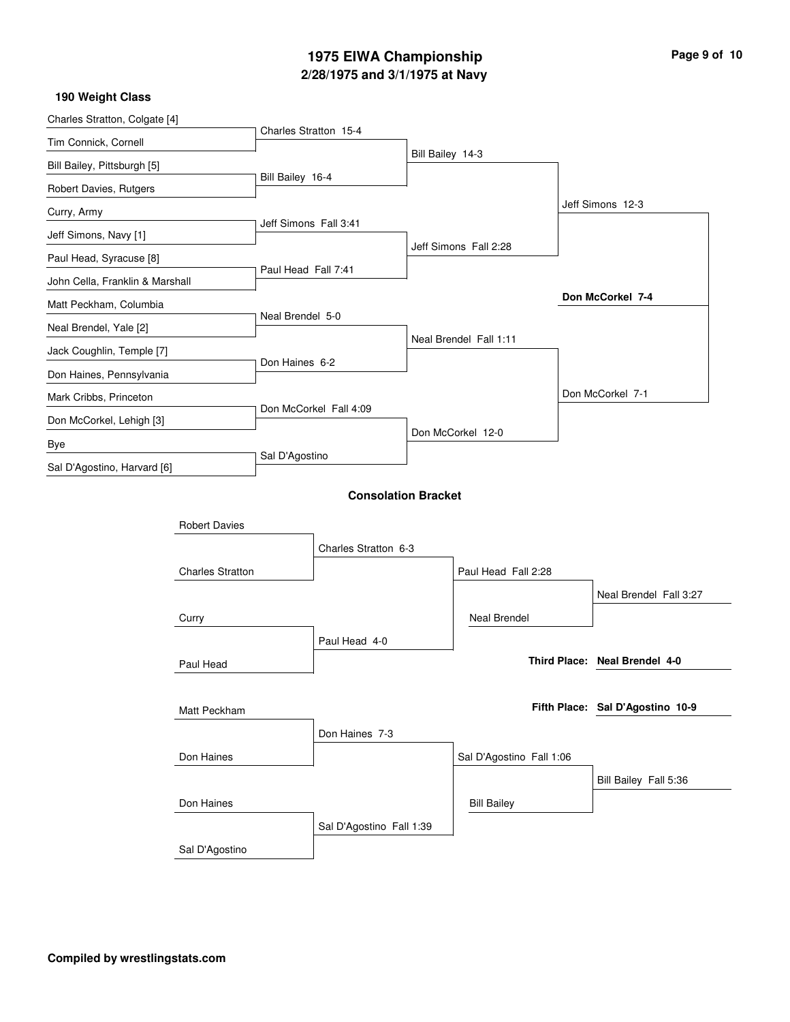## **2/28/1975 and 3/1/1975 at Navy 1975 EIWA Championship Page 9 of 10**

| 190 Weight Class                |                        |                            |                  |                          |                               |                                  |
|---------------------------------|------------------------|----------------------------|------------------|--------------------------|-------------------------------|----------------------------------|
| Charles Stratton, Colgate [4]   | Charles Stratton 15-4  |                            |                  |                          |                               |                                  |
| Tim Connick, Cornell            |                        |                            | Bill Bailey 14-3 |                          |                               |                                  |
| Bill Bailey, Pittsburgh [5]     |                        |                            |                  |                          |                               |                                  |
| Robert Davies, Rutgers          | Bill Bailey 16-4       |                            |                  |                          |                               |                                  |
| Curry, Army                     | Jeff Simons Fall 3:41  |                            |                  |                          |                               | Jeff Simons 12-3                 |
| Jeff Simons, Navy [1]           |                        |                            |                  |                          |                               |                                  |
| Paul Head, Syracuse [8]         |                        |                            |                  | Jeff Simons Fall 2:28    |                               |                                  |
| John Cella, Franklin & Marshall | Paul Head Fall 7:41    |                            |                  |                          |                               |                                  |
| Matt Peckham, Columbia          |                        |                            |                  |                          |                               | Don McCorkel 7-4                 |
| Neal Brendel, Yale [2]          | Neal Brendel 5-0       |                            |                  |                          |                               |                                  |
| Jack Coughlin, Temple [7]       |                        |                            |                  | Neal Brendel Fall 1:11   |                               |                                  |
| Don Haines, Pennsylvania        | Don Haines 6-2         |                            |                  |                          |                               |                                  |
| Mark Cribbs, Princeton          |                        |                            |                  |                          |                               | Don McCorkel 7-1                 |
| Don McCorkel, Lehigh [3]        | Don McCorkel Fall 4:09 |                            |                  |                          |                               |                                  |
| Bye                             |                        |                            |                  | Don McCorkel 12-0        |                               |                                  |
| Sal D'Agostino, Harvard [6]     | Sal D'Agostino         |                            |                  |                          |                               |                                  |
|                                 |                        | <b>Consolation Bracket</b> |                  |                          |                               |                                  |
|                                 |                        |                            |                  |                          |                               |                                  |
| <b>Robert Davies</b>            |                        |                            |                  |                          |                               |                                  |
|                                 |                        | Charles Stratton 6-3       |                  |                          |                               |                                  |
| <b>Charles Stratton</b>         |                        |                            |                  | Paul Head Fall 2:28      |                               |                                  |
|                                 |                        |                            |                  |                          |                               | Neal Brendel Fall 3:27           |
| Curry                           |                        |                            |                  | <b>Neal Brendel</b>      |                               |                                  |
| Paul Head                       |                        | Paul Head 4-0              |                  |                          |                               |                                  |
|                                 |                        |                            |                  |                          | Third Place: Neal Brendel 4-0 |                                  |
|                                 |                        |                            |                  |                          |                               |                                  |
| Matt Peckham                    |                        |                            |                  |                          |                               | Fifth Place: Sal D'Agostino 10-9 |
|                                 |                        | Don Haines 7-3             |                  |                          |                               |                                  |
| Don Haines                      |                        |                            |                  | Sal D'Agostino Fall 1:06 |                               |                                  |
|                                 |                        |                            |                  |                          |                               | Bill Bailey Fall 5:36            |
| Don Haines                      |                        |                            |                  | <b>Bill Bailey</b>       |                               |                                  |
|                                 |                        | Sal D'Agostino Fall 1:39   |                  |                          |                               |                                  |
| Sal D'Agostino                  |                        |                            |                  |                          |                               |                                  |